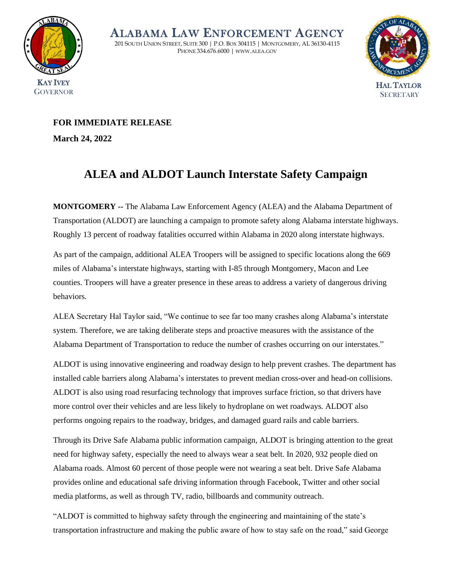

ALABAMA LAW ENFORCEMENT AGENCY

201 SOUTH UNION STREET, SUITE 300 | P.O. BOX 304115 | MONTGOMERY, AL 36130-4115 PHONE 334.676.6000 | WWW.ALEA.GOV



## **FOR IMMEDIATE RELEASE**

**March 24, 2022**

## **ALEA and ALDOT Launch Interstate Safety Campaign**

**MONTGOMERY --** The Alabama Law Enforcement Agency (ALEA) and the Alabama Department of Transportation (ALDOT) are launching a campaign to promote safety along Alabama interstate highways. Roughly 13 percent of roadway fatalities occurred within Alabama in 2020 along interstate highways.

As part of the campaign, additional ALEA Troopers will be assigned to specific locations along the 669 miles of Alabama's interstate highways, starting with I-85 through Montgomery, Macon and Lee counties. Troopers will have a greater presence in these areas to address a variety of dangerous driving behaviors.

ALEA Secretary Hal Taylor said, "We continue to see far too many crashes along Alabama's interstate system. Therefore, we are taking deliberate steps and proactive measures with the assistance of the Alabama Department of Transportation to reduce the number of crashes occurring on our interstates."

ALDOT is using innovative engineering and roadway design to help prevent crashes. The department has installed cable barriers along Alabama's interstates to prevent median cross-over and head-on collisions. ALDOT is also using road resurfacing technology that improves surface friction, so that drivers have more control over their vehicles and are less likely to hydroplane on wet roadways. ALDOT also performs ongoing repairs to the roadway, bridges, and damaged guard rails and cable barriers.

Through its Drive Safe Alabama public information campaign, ALDOT is bringing attention to the great need for highway safety, especially the need to always wear a seat belt. In 2020, 932 people died on Alabama roads. Almost 60 percent of those people were not wearing a seat belt. Drive Safe Alabama provides online and educational safe driving information through Facebook, Twitter and other social media platforms, as well as through TV, radio, billboards and community outreach.

"ALDOT is committed to highway safety through the engineering and maintaining of the state's transportation infrastructure and making the public aware of how to stay safe on the road," said George